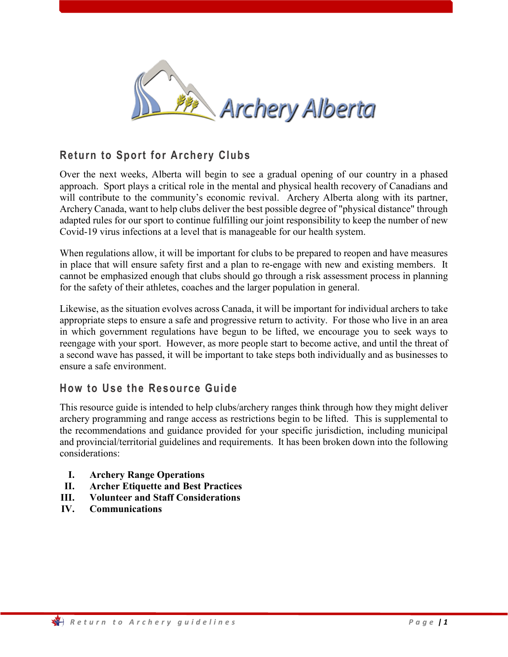

### **Return to Sport for Archery Clubs**

Over the next weeks, Alberta will begin to see a gradual opening of our country in a phased approach. Sport plays a critical role in the mental and physical health recovery of Canadians and will contribute to the community's economic revival. Archery Alberta along with its partner, Archery Canada, want to help clubs deliver the best possible degree of "physical distance" through adapted rules for our sport to continue fulfilling our joint responsibility to keep the number of new Covid-19 virus infections at a level that is manageable for our health system.

When regulations allow, it will be important for clubs to be prepared to reopen and have measures in place that will ensure safety first and a plan to re-engage with new and existing members. It cannot be emphasized enough that clubs should go through a risk assessment process in planning for the safety of their athletes, coaches and the larger population in general.

Likewise, as the situation evolves across Canada, it will be important for individual archers to take appropriate steps to ensure a safe and progressive return to activity. For those who live in an area in which government regulations have begun to be lifted, we encourage you to seek ways to reengage with your sport. However, as more people start to become active, and until the threat of a second wave has passed, it will be important to take steps both individually and as businesses to ensure a safe environment.

#### **How to Use the Resource Guide**

This resource guide is intended to help clubs/archery ranges think through how they might deliver archery programming and range access as restrictions begin to be lifted. This is supplemental to the recommendations and guidance provided for your specific jurisdiction, including municipal and provincial/territorial guidelines and requirements. It has been broken down into the following considerations:

- **I. Archery Range Operations**
- **II. Archer Etiquette and Best Practices**
- **III. Volunteer and Staff Considerations**
- **IV. Communications**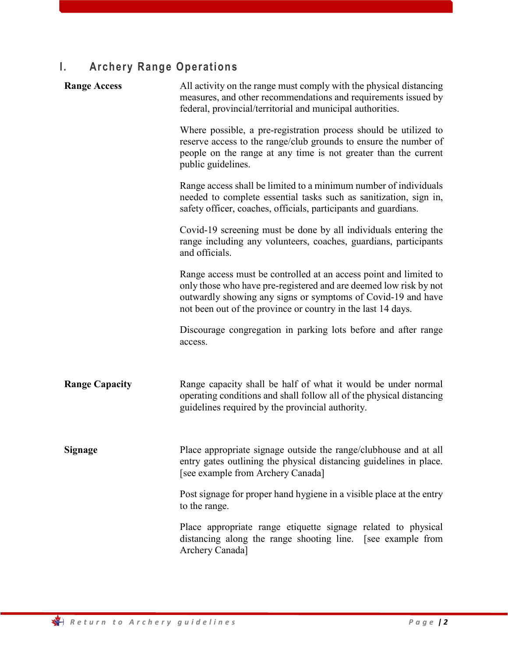# **I. Archery Range Operations**

| <b>Range Access</b>   | All activity on the range must comply with the physical distancing<br>measures, and other recommendations and requirements issued by<br>federal, provincial/territorial and municipal authorities.                                                                     |
|-----------------------|------------------------------------------------------------------------------------------------------------------------------------------------------------------------------------------------------------------------------------------------------------------------|
|                       | Where possible, a pre-registration process should be utilized to<br>reserve access to the range/club grounds to ensure the number of<br>people on the range at any time is not greater than the current<br>public guidelines.                                          |
|                       | Range access shall be limited to a minimum number of individuals<br>needed to complete essential tasks such as sanitization, sign in,<br>safety officer, coaches, officials, participants and guardians.                                                               |
|                       | Covid-19 screening must be done by all individuals entering the<br>range including any volunteers, coaches, guardians, participants<br>and officials.                                                                                                                  |
|                       | Range access must be controlled at an access point and limited to<br>only those who have pre-registered and are deemed low risk by not<br>outwardly showing any signs or symptoms of Covid-19 and have<br>not been out of the province or country in the last 14 days. |
|                       | Discourage congregation in parking lots before and after range<br>access.                                                                                                                                                                                              |
| <b>Range Capacity</b> | Range capacity shall be half of what it would be under normal<br>operating conditions and shall follow all of the physical distancing<br>guidelines required by the provincial authority.                                                                              |
| Signage               | Place appropriate signage outside the range/clubhouse and at all<br>entry gates outlining the physical distancing guidelines in place.<br>[see example from Archery Canada]                                                                                            |
|                       | Post signage for proper hand hygiene in a visible place at the entry<br>to the range.                                                                                                                                                                                  |
|                       | Place appropriate range etiquette signage related to physical<br>distancing along the range shooting line. [see example from<br>Archery Canada]                                                                                                                        |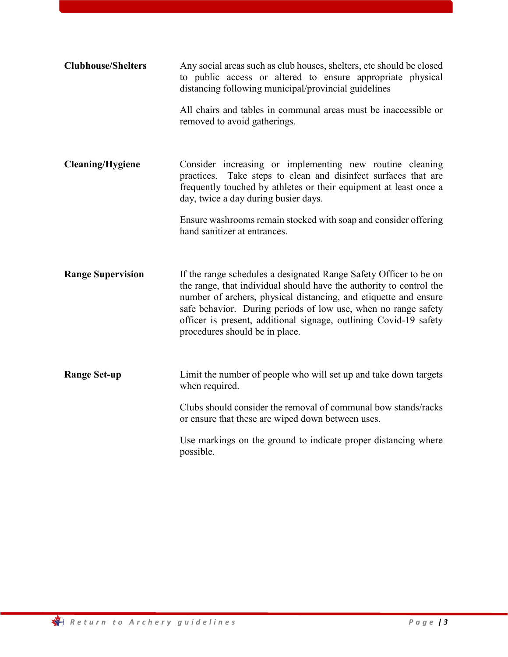| <b>Clubhouse/Shelters</b> | Any social areas such as club houses, shelters, etc should be closed<br>to public access or altered to ensure appropriate physical<br>distancing following municipal/provincial guidelines<br>All chairs and tables in communal areas must be inaccessible or<br>removed to avoid gatherings.                                                                                         |
|---------------------------|---------------------------------------------------------------------------------------------------------------------------------------------------------------------------------------------------------------------------------------------------------------------------------------------------------------------------------------------------------------------------------------|
| <b>Cleaning/Hygiene</b>   | Consider increasing or implementing new routine cleaning<br>Take steps to clean and disinfect surfaces that are<br>practices.<br>frequently touched by athletes or their equipment at least once a<br>day, twice a day during busier days.<br>Ensure washrooms remain stocked with soap and consider offering<br>hand sanitizer at entrances.                                         |
| <b>Range Supervision</b>  | If the range schedules a designated Range Safety Officer to be on<br>the range, that individual should have the authority to control the<br>number of archers, physical distancing, and etiquette and ensure<br>safe behavior. During periods of low use, when no range safety<br>officer is present, additional signage, outlining Covid-19 safety<br>procedures should be in place. |
| <b>Range Set-up</b>       | Limit the number of people who will set up and take down targets<br>when required.<br>Clubs should consider the removal of communal bow stands/racks<br>or ensure that these are wiped down between uses.<br>Use markings on the ground to indicate proper distancing where<br>possible.                                                                                              |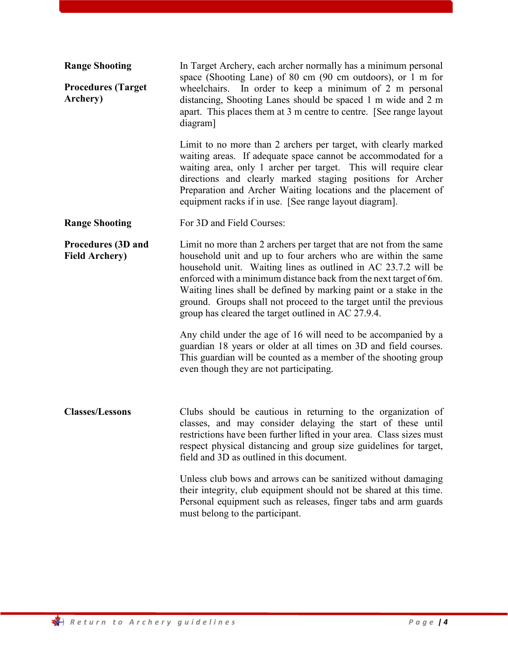| <b>Range Shooting</b><br><b>Procedures (Target)</b><br>Archery) | In Target Archery, each archer normally has a minimum personal<br>space (Shooting Lane) of 80 cm (90 cm outdoors), or 1 m for<br>In order to keep a minimum of 2 m personal<br>wheelchairs.<br>distancing, Shooting Lanes should be spaced 1 m wide and 2 m<br>apart. This places them at 3 m centre to centre. [See range layout<br>diagram]                                                                                                                               |
|-----------------------------------------------------------------|-----------------------------------------------------------------------------------------------------------------------------------------------------------------------------------------------------------------------------------------------------------------------------------------------------------------------------------------------------------------------------------------------------------------------------------------------------------------------------|
|                                                                 | Limit to no more than 2 archers per target, with clearly marked<br>waiting areas. If adequate space cannot be accommodated for a<br>waiting area, only 1 archer per target. This will require clear<br>directions and clearly marked staging positions for Archer<br>Preparation and Archer Waiting locations and the placement of<br>equipment racks if in use. [See range layout diagram].                                                                                |
| <b>Range Shooting</b>                                           | For 3D and Field Courses:                                                                                                                                                                                                                                                                                                                                                                                                                                                   |
| Procedures (3D and<br><b>Field Archery)</b>                     | Limit no more than 2 archers per target that are not from the same<br>household unit and up to four archers who are within the same<br>household unit. Waiting lines as outlined in AC 23.7.2 will be<br>enforced with a minimum distance back from the next target of 6m.<br>Waiting lines shall be defined by marking paint or a stake in the<br>ground. Groups shall not proceed to the target until the previous<br>group has cleared the target outlined in AC 27.9.4. |
|                                                                 | Any child under the age of 16 will need to be accompanied by a<br>guardian 18 years or older at all times on 3D and field courses.<br>This guardian will be counted as a member of the shooting group<br>even though they are not participating.                                                                                                                                                                                                                            |
| <b>Classes/Lessons</b>                                          | Clubs should be cautious in returning to the organization of<br>classes, and may consider delaying the start of these until<br>restrictions have been further lifted in your area. Class sizes must<br>respect physical distancing and group size guidelines for target,<br>field and 3D as outlined in this document.                                                                                                                                                      |
|                                                                 | Unless club bows and arrows can be sanitized without damaging<br>their integrity, club equipment should not be shared at this time.<br>Personal equipment such as releases, finger tabs and arm guards<br>must belong to the participant.                                                                                                                                                                                                                                   |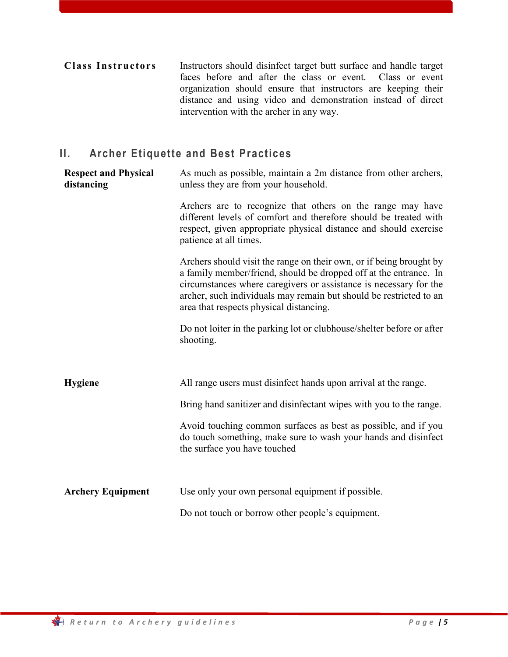**Class Instructors** Instructors should disinfect target butt surface and handle target faces before and after the class or event. Class or event organization should ensure that instructors are keeping their distance and using video and demonstration instead of direct intervention with the archer in any way.

### **II. Archer Etiquette and Best Practices**

| <b>Respect and Physical</b><br>As much as possible, maintain a 2m distance from other archers,<br>distancing<br>unless they are from your household.                                                                                                                                                                           |  |
|--------------------------------------------------------------------------------------------------------------------------------------------------------------------------------------------------------------------------------------------------------------------------------------------------------------------------------|--|
| Archers are to recognize that others on the range may have<br>different levels of comfort and therefore should be treated with<br>respect, given appropriate physical distance and should exercise<br>patience at all times.                                                                                                   |  |
| Archers should visit the range on their own, or if being brought by<br>a family member/friend, should be dropped off at the entrance. In<br>circumstances where caregivers or assistance is necessary for the<br>archer, such individuals may remain but should be restricted to an<br>area that respects physical distancing. |  |
| Do not loiter in the parking lot or clubhouse/shelter before or after<br>shooting.                                                                                                                                                                                                                                             |  |
| All range users must disinfect hands upon arrival at the range.<br><b>Hygiene</b>                                                                                                                                                                                                                                              |  |
| Bring hand sanitizer and disinfectant wipes with you to the range.                                                                                                                                                                                                                                                             |  |
| Avoid touching common surfaces as best as possible, and if you<br>do touch something, make sure to wash your hands and disinfect<br>the surface you have touched                                                                                                                                                               |  |
| Use only your own personal equipment if possible.<br><b>Archery Equipment</b>                                                                                                                                                                                                                                                  |  |
| Do not touch or borrow other people's equipment.                                                                                                                                                                                                                                                                               |  |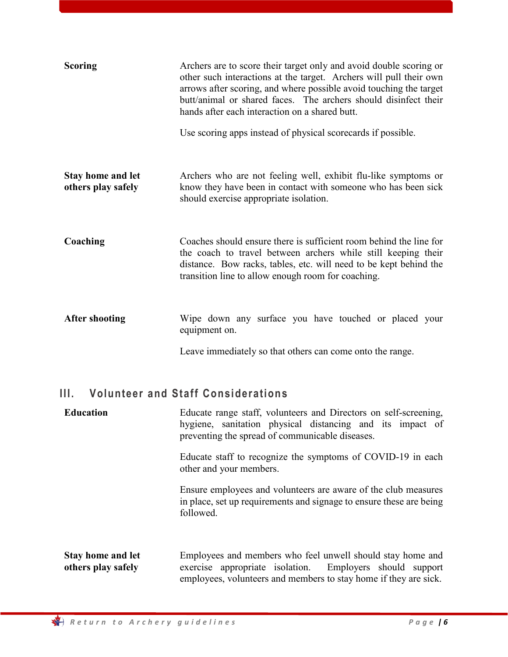| <b>Scoring</b>                                 | Archers are to score their target only and avoid double scoring or<br>other such interactions at the target. Archers will pull their own<br>arrows after scoring, and where possible avoid touching the target<br>butt/animal or shared faces. The archers should disinfect their<br>hands after each interaction on a shared butt. |
|------------------------------------------------|-------------------------------------------------------------------------------------------------------------------------------------------------------------------------------------------------------------------------------------------------------------------------------------------------------------------------------------|
|                                                | Use scoring apps instead of physical scorecards if possible.                                                                                                                                                                                                                                                                        |
| <b>Stay home and let</b><br>others play safely | Archers who are not feeling well, exhibit flu-like symptoms or<br>know they have been in contact with someone who has been sick<br>should exercise appropriate isolation.                                                                                                                                                           |
| Coaching                                       | Coaches should ensure there is sufficient room behind the line for<br>the coach to travel between archers while still keeping their<br>distance. Bow racks, tables, etc. will need to be kept behind the<br>transition line to allow enough room for coaching.                                                                      |
| <b>After shooting</b>                          | Wipe down any surface you have touched or placed your<br>equipment on.                                                                                                                                                                                                                                                              |
|                                                | Leave immediately so that others can come onto the range.                                                                                                                                                                                                                                                                           |
| Ш.                                             | <b>Volunteer and Staff Considerations</b>                                                                                                                                                                                                                                                                                           |
| <b>Education</b>                               | Educate range staff, volunteers and Directors on self-screening,<br>hygiene, sanitation physical distancing and its impact of<br>preventing the spread of communicable diseases.                                                                                                                                                    |
|                                                | Educate staff to recognize the symptoms of COVID-19 in each<br>other and your members.                                                                                                                                                                                                                                              |
|                                                | Ensure employees and volunteers are aware of the club measures<br>in place, set up requirements and signage to ensure these are being<br>followed.                                                                                                                                                                                  |
| <b>Stay home and let</b><br>others play safely | Employees and members who feel unwell should stay home and<br>Employers should support<br>exercise appropriate isolation.<br>employees, volunteers and members to stay home if they are sick.                                                                                                                                       |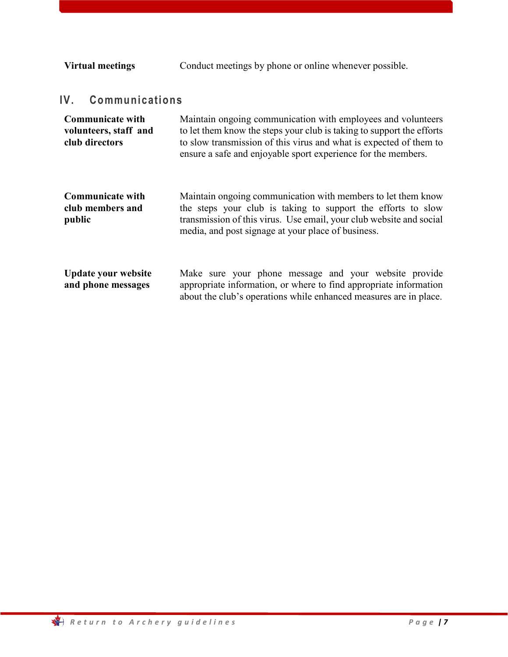Virtual meetings **Conduct meetings** by phone or online whenever possible.

## **IV. Communications**

| <b>Communicate with</b><br>volunteers, staff and<br>club directors | Maintain ongoing communication with employees and volunteers<br>to let them know the steps your club is taking to support the efforts<br>to slow transmission of this virus and what is expected of them to<br>ensure a safe and enjoyable sport experience for the members. |
|--------------------------------------------------------------------|------------------------------------------------------------------------------------------------------------------------------------------------------------------------------------------------------------------------------------------------------------------------------|
| <b>Communicate with</b><br>club members and<br>public              | Maintain ongoing communication with members to let them know<br>the steps your club is taking to support the efforts to slow<br>transmission of this virus. Use email, your club website and social<br>media, and post signage at your place of business.                    |
| <b>Update your website</b><br>and phone messages                   | Make sure your phone message and your website provide<br>appropriate information, or where to find appropriate information<br>about the club's operations while enhanced measures are in place.                                                                              |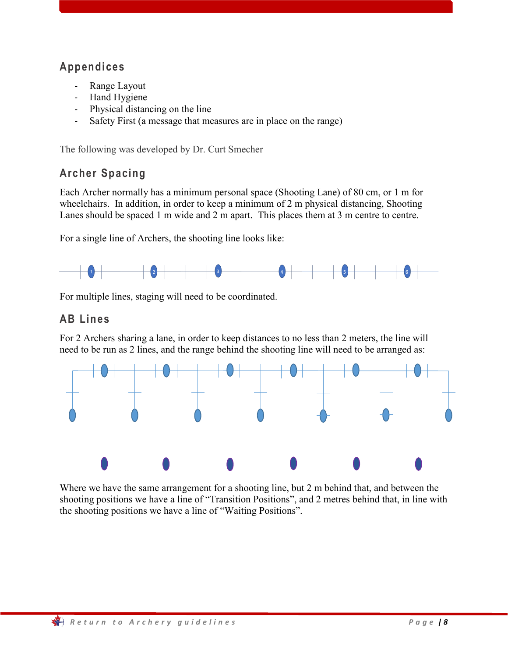### **Appendices**

- Range Layout
- Hand Hygiene
- Physical distancing on the line
- Safety First (a message that measures are in place on the range)

The following was developed by Dr. Curt Smecher

### **Archer Spacing**

Each Archer normally has a minimum personal space (Shooting Lane) of 80 cm, or 1 m for wheelchairs. In addition, in order to keep a minimum of 2 m physical distancing, Shooting Lanes should be spaced 1 m wide and 2 m apart. This places them at 3 m centre to centre.

For a single line of Archers, the shooting line looks like:



For multiple lines, staging will need to be coordinated.

#### **AB Lines**

For 2 Archers sharing a lane, in order to keep distances to no less than 2 meters, the line will need to be run as 2 lines, and the range behind the shooting line will need to be arranged as:



Where we have the same arrangement for a shooting line, but 2 m behind that, and between the shooting positions we have a line of "Transition Positions", and 2 metres behind that, in line with the shooting positions we have a line of "Waiting Positions".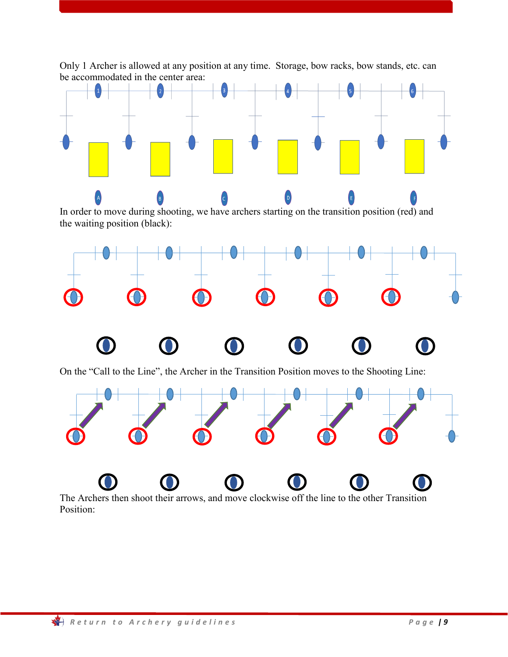

Only 1 Archer is allowed at any position at any time. Storage, bow racks, bow stands, etc. can be accommodated in the center area: